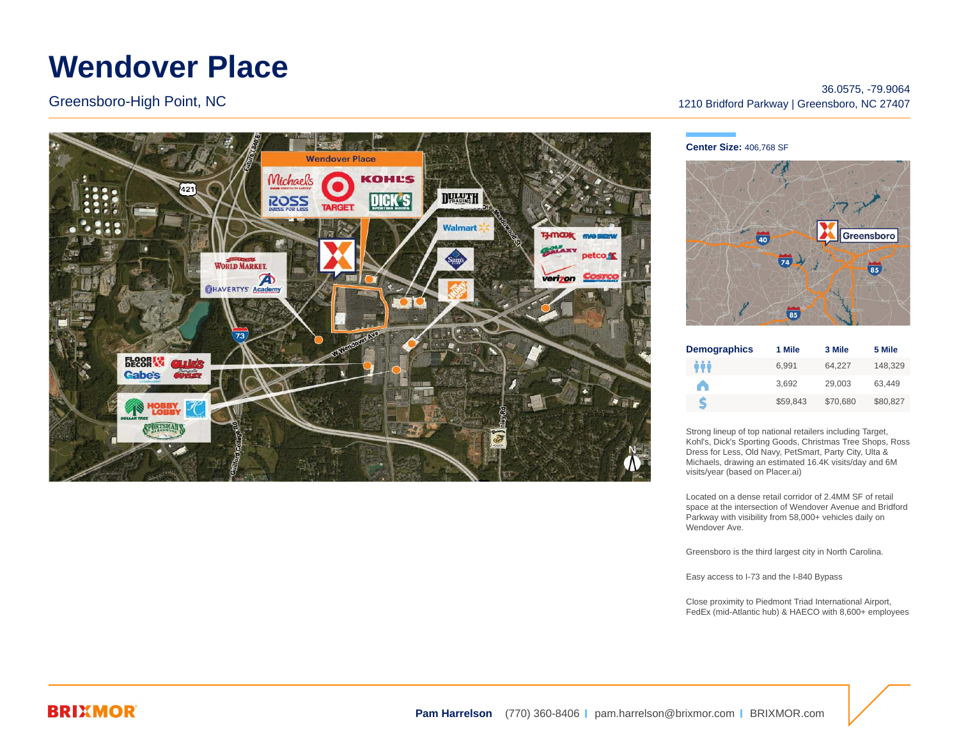# **Wendover Place**

Greensboro-High Point, NC



### 36.0575, -79.9064 1210 Bridford Parkway | Greensboro, NC 27407

#### **Center Size:** 406,768 SF



| <b>Demographics</b> | 1 Mile   | 3 Mile   | 5 Mile   |
|---------------------|----------|----------|----------|
| ŶŶŶ                 | 6.991    | 64.227   | 148.329  |
|                     | 3.692    | 29.003   | 63.449   |
| S                   | \$59.843 | \$70,680 | \$80,827 |

Strong lineup of top national retailers including Target, Kohl's, Dick's Sporting Goods, Christmas Tree Shops, Ross Dress for Less, Old Navy, PetSmart, Party City, Ulta & Michaels, drawing an estimated 16.4K visits/day and 6M visits/year (based on Placer.ai)

Located on a dense retail corridor of 2.4MM SF of retail space at the intersection of Wendover Avenue and Bridford Parkway with visibility from 58,000+ vehicles daily on Wendover Ave.

Greensboro is the third largest city in North Carolina.

Easy access to I-73 and the I-840 Bypass

Close proximity to Piedmont Triad International Airport, FedEx (mid-Atlantic hub) & HAECO with 8,600+ employees

## **BRIXMOR**